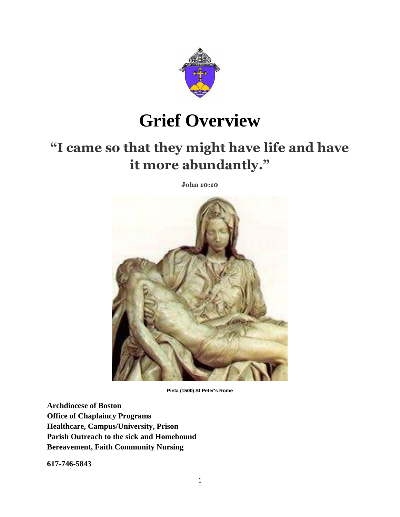

# **Grief Overview**

# **"I came so that they might have life and have it more abundantly."**

**John 10:10**



**Pieta (1500) St Peter's Rome**

**Archdiocese of Boston Office of Chaplaincy Programs Healthcare, Campus/University, Prison Parish Outreach to the sick and Homebound Bereavement, Faith Community Nursing**

**617-746-5843**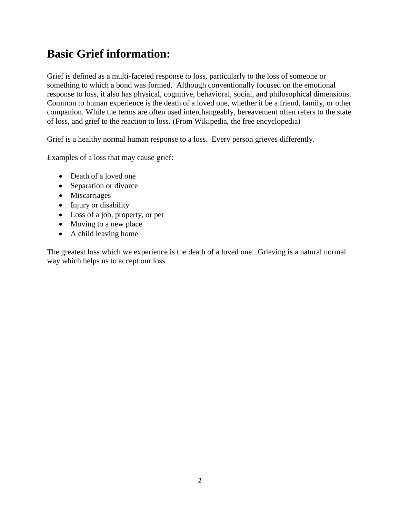### **Basic Grief information:**

Grief is defined as a multi-faceted response to loss, particularly to the loss of someone or something to which a bond was formed. Although conventionally focused on the emotional response to loss, it also has physical, cognitive, behavioral, social, and philosophical dimensions. Common to human experience is the death of a loved one, whether it be a friend, family, or other companion. While the terms are often used interchangeably, bereavement often refers to the state of loss, and grief to the reaction to loss. (From Wikipedia, the free encyclopedia)

Grief is a healthy normal human response to a loss. Every person grieves differently.

Examples of a loss that may cause grief:

- Death of a loved one
- Separation or divorce
- Miscarriages
- Injury or disability
- Loss of a job, property, or pet
- Moving to a new place
- A child leaving home

The greatest loss which we experience is the death of a loved one. Grieving is a natural normal way which helps us to accept our loss.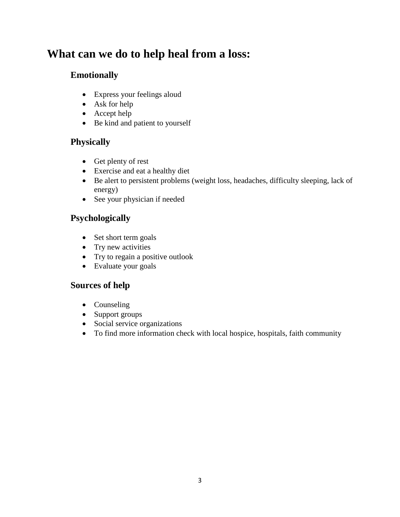### **What can we do to help heal from a loss:**

#### **Emotionally**

- Express your feelings aloud
- Ask for help
- Accept help
- Be kind and patient to yourself

#### **Physically**

- Get plenty of rest
- Exercise and eat a healthy diet
- Be alert to persistent problems (weight loss, headaches, difficulty sleeping, lack of energy)
- See your physician if needed

#### **Psychologically**

- Set short term goals
- Try new activities
- Try to regain a positive outlook
- Evaluate your goals

#### **Sources of help**

- Counseling
- Support groups
- Social service organizations
- To find more information check with local hospice, hospitals, faith community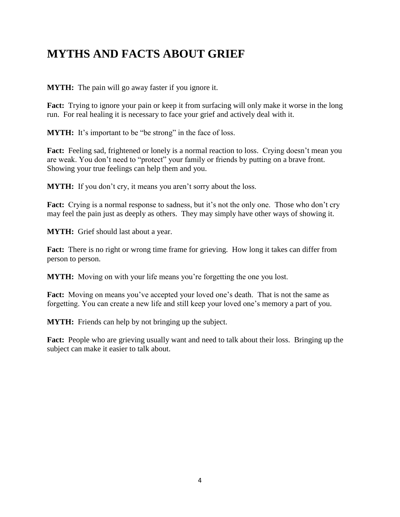# **MYTHS AND FACTS ABOUT GRIEF**

**MYTH:** The pain will go away faster if you ignore it.

**Fact:** Trying to ignore your pain or keep it from surfacing will only make it worse in the long run. For real healing it is necessary to face your grief and actively deal with it.

**MYTH:** It's important to be "be strong" in the face of loss.

Fact: Feeling sad, frightened or lonely is a normal reaction to loss. Crying doesn't mean you are weak. You don't need to "protect" your family or friends by putting on a brave front. Showing your true feelings can help them and you.

**MYTH:** If you don't cry, it means you aren't sorry about the loss.

Fact: Crying is a normal response to sadness, but it's not the only one. Those who don't cry may feel the pain just as deeply as others. They may simply have other ways of showing it.

**MYTH:** Grief should last about a year.

**Fact:** There is no right or wrong time frame for grieving. How long it takes can differ from person to person.

**MYTH:** Moving on with your life means you're forgetting the one you lost.

**Fact:** Moving on means you've accepted your loved one's death. That is not the same as forgetting. You can create a new life and still keep your loved one's memory a part of you.

**MYTH:** Friends can help by not bringing up the subject.

Fact: People who are grieving usually want and need to talk about their loss. Bringing up the subject can make it easier to talk about.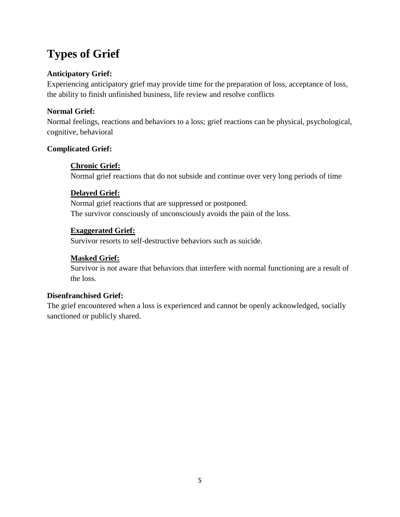# **Types of Grief**

#### **Anticipatory Grief:**

Experiencing anticipatory grief may provide time for the preparation of loss, acceptance of loss, the ability to finish unfinished business, life review and resolve conflicts

#### **Normal Grief:**

Normal feelings, reactions and behaviors to a loss; grief reactions can be physical, psychological, cognitive, behavioral

#### **Complicated Grief:**

#### **Chronic Grief:**

Normal grief reactions that do not subside and continue over very long periods of time

#### **Delayed Grief:**

Normal grief reactions that are suppressed or postponed. The survivor consciously of unconsciously avoids the pain of the loss.

#### **Exaggerated Grief:**

Survivor resorts to self-destructive behaviors such as suicide.

#### **Masked Grief:**

Survivor is not aware that behaviors that interfere with normal functioning are a result of the loss.

#### **Disenfranchised Grief:**

The grief encountered when a loss is experienced and cannot be openly acknowledged, socially sanctioned or publicly shared.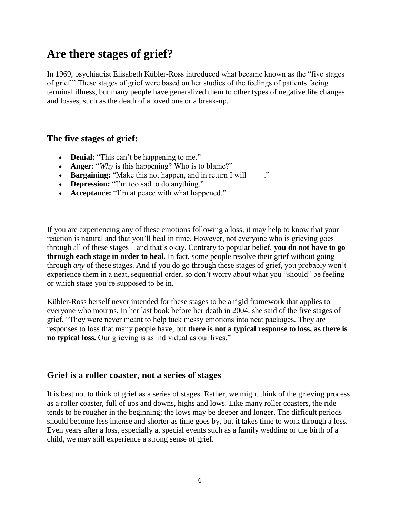### **Are there stages of grief?**

In 1969, psychiatrist Elisabeth Kübler-Ross introduced what became known as the "five stages of grief." These stages of grief were based on her studies of the feelings of patients facing terminal illness, but many people have generalized them to other types of negative life changes and losses, such as the death of a loved one or a break-up.

#### **The five stages of grief:**

- **Denial:** "This can't be happening to me."
- **Anger:** "*Why* is this happening? Who is to blame?"
- **Bargaining:** "Make this not happen, and in return I will \_\_\_\_."
- **Depression:** "I'm too sad to do anything."
- **Acceptance:** "I'm at peace with what happened."

If you are experiencing any of these emotions following a loss, it may help to know that your reaction is natural and that you'll heal in time. However, not everyone who is grieving goes through all of these stages – and that's okay. Contrary to popular belief, **you do not have to go through each stage in order to heal.** In fact, some people resolve their grief without going through *any* of these stages. And if you do go through these stages of grief, you probably won't experience them in a neat, sequential order, so don't worry about what you "should" be feeling or which stage you're supposed to be in.

Kübler-Ross herself never intended for these stages to be a rigid framework that applies to everyone who mourns. In her last book before her death in 2004, she said of the five stages of grief, "They were never meant to help tuck messy emotions into neat packages. They are responses to loss that many people have, but **there is not a typical response to loss, as there is no typical loss.** Our grieving is as individual as our lives."

#### **Grief is a roller coaster, not a series of stages**

It is best not to think of grief as a series of stages. Rather, we might think of the grieving process as a roller coaster, full of ups and downs, highs and lows. Like many roller coasters, the ride tends to be rougher in the beginning; the lows may be deeper and longer. The difficult periods should become less intense and shorter as time goes by, but it takes time to work through a loss. Even years after a loss, especially at special events such as a family wedding or the birth of a child, we may still experience a strong sense of grief.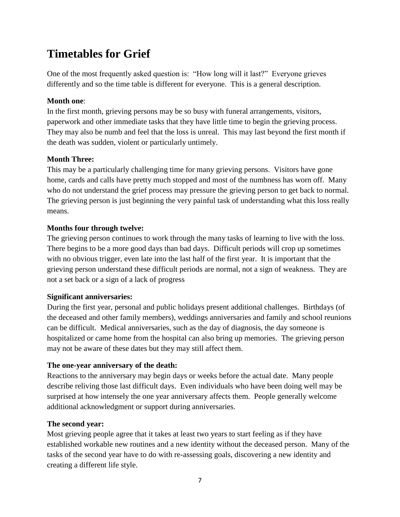# **Timetables for Grief**

One of the most frequently asked question is: "How long will it last?" Everyone grieves differently and so the time table is different for everyone. This is a general description.

#### **Month one**:

In the first month, grieving persons may be so busy with funeral arrangements, visitors, paperwork and other immediate tasks that they have little time to begin the grieving process. They may also be numb and feel that the loss is unreal. This may last beyond the first month if the death was sudden, violent or particularly untimely.

#### **Month Three:**

This may be a particularly challenging time for many grieving persons. Visitors have gone home, cards and calls have pretty much stopped and most of the numbness has worn off. Many who do not understand the grief process may pressure the grieving person to get back to normal. The grieving person is just beginning the very painful task of understanding what this loss really means.

#### **Months four through twelve:**

The grieving person continues to work through the many tasks of learning to live with the loss. There begins to be a more good days than bad days. Difficult periods will crop up sometimes with no obvious trigger, even late into the last half of the first year. It is important that the grieving person understand these difficult periods are normal, not a sign of weakness. They are not a set back or a sign of a lack of progress

#### **Significant anniversaries:**

During the first year, personal and public holidays present additional challenges. Birthdays (of the deceased and other family members), weddings anniversaries and family and school reunions can be difficult. Medical anniversaries, such as the day of diagnosis, the day someone is hospitalized or came home from the hospital can also bring up memories. The grieving person may not be aware of these dates but they may still affect them.

#### **The one-year anniversary of the death:**

Reactions to the anniversary may begin days or weeks before the actual date. Many people describe reliving those last difficult days. Even individuals who have been doing well may be surprised at how intensely the one year anniversary affects them. People generally welcome additional acknowledgment or support during anniversaries.

#### **The second year:**

Most grieving people agree that it takes at least two years to start feeling as if they have established workable new routines and a new identity without the deceased person. Many of the tasks of the second year have to do with re-assessing goals, discovering a new identity and creating a different life style.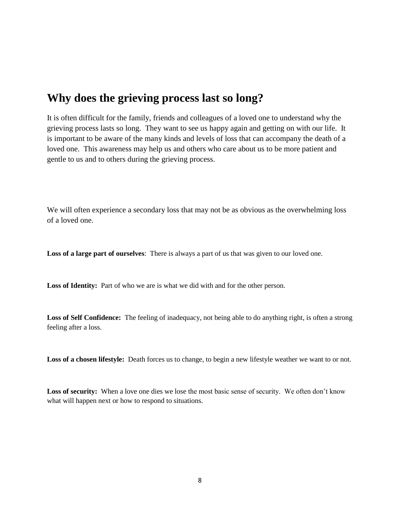### **Why does the grieving process last so long?**

It is often difficult for the family, friends and colleagues of a loved one to understand why the grieving process lasts so long. They want to see us happy again and getting on with our life. It is important to be aware of the many kinds and levels of loss that can accompany the death of a loved one. This awareness may help us and others who care about us to be more patient and gentle to us and to others during the grieving process.

We will often experience a secondary loss that may not be as obvious as the overwhelming loss of a loved one.

**Loss of a large part of ourselves**: There is always a part of us that was given to our loved one.

Loss of Identity: Part of who we are is what we did with and for the other person.

**Loss of Self Confidence:** The feeling of inadequacy, not being able to do anything right, is often a strong feeling after a loss.

**Loss of a chosen lifestyle:** Death forces us to change, to begin a new lifestyle weather we want to or not.

Loss of security: When a love one dies we lose the most basic sense of security. We often don't know what will happen next or how to respond to situations.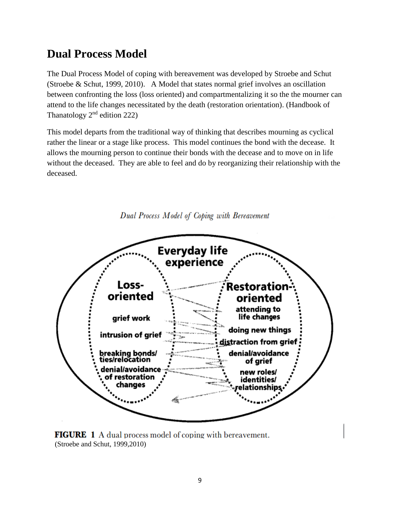### **Dual Process Model**

The Dual Process Model of coping with bereavement was developed by Stroebe and Schut (Stroebe & Schut, 1999, 2010). A Model that states normal grief involves an oscillation between confronting the loss (loss oriented) and compartmentalizing it so the the mourner can attend to the life changes necessitated by the death (restoration orientation). (Handbook of Thanatology  $2<sup>nd</sup>$  edition 222)

This model departs from the traditional way of thinking that describes mourning as cyclical rather the linear or a stage like process. This model continues the bond with the decease. It allows the mourning person to continue their bonds with the decease and to move on in life without the deceased. They are able to feel and do by reorganizing their relationship with the deceased.



Dual Process Model of Coping with Bereavement

**FIGURE** 1 A dual process model of coping with bereavement. (Stroebe and Schut, 1999,2010)

 $\parallel$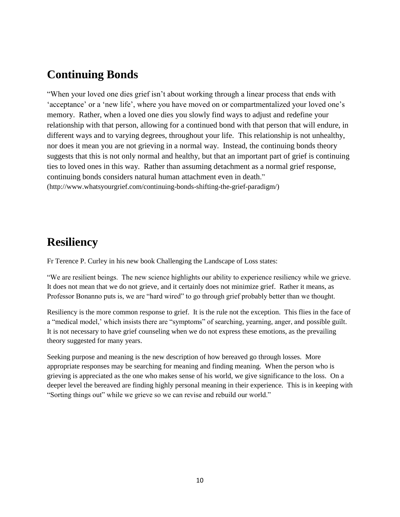### **Continuing Bonds**

"When your loved one dies grief isn't about working through a linear process that ends with 'acceptance' or a 'new life', where you have moved on or compartmentalized your loved one's memory. Rather, when a loved one dies you slowly find ways to adjust and redefine your relationship with that person, allowing for a continued bond with that person that will endure, in different ways and to varying degrees, throughout your life. This relationship is not unhealthy, nor does it mean you are not grieving in a normal way. Instead, the continuing bonds theory suggests that this is not only normal and healthy, but that an important part of grief is continuing ties to loved ones in this way. Rather than assuming detachment as a normal grief response, continuing bonds considers natural human attachment even in death." (http://www.whatsyourgrief.com/continuing-bonds-shifting-the-grief-paradigm/)

#### **Resiliency**

Fr Terence P. Curley in his new book Challenging the Landscape of Loss states:

"We are resilient beings. The new science highlights our ability to experience resiliency while we grieve. It does not mean that we do not grieve, and it certainly does not minimize grief. Rather it means, as Professor Bonanno puts is, we are "hard wired" to go through grief probably better than we thought.

Resiliency is the more common response to grief. It is the rule not the exception. This flies in the face of a "medical model,' which insists there are "symptoms" of searching, yearning, anger, and possible guilt. It is not necessary to have grief counseling when we do not express these emotions, as the prevailing theory suggested for many years.

Seeking purpose and meaning is the new description of how bereaved go through losses. More appropriate responses may be searching for meaning and finding meaning. When the person who is grieving is appreciated as the one who makes sense of his world, we give significance to the loss. On a deeper level the bereaved are finding highly personal meaning in their experience. This is in keeping with "Sorting things out" while we grieve so we can revise and rebuild our world."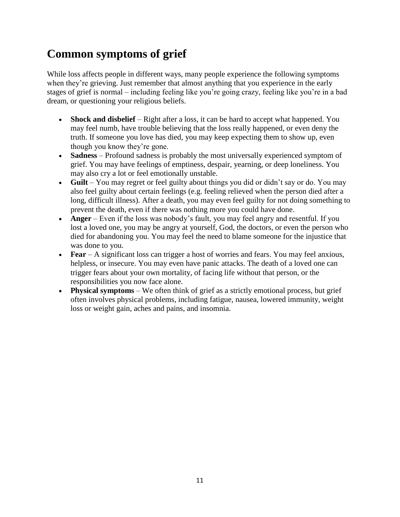# **Common symptoms of grief**

While loss affects people in different ways, many people experience the following symptoms when they're grieving. Just remember that almost anything that you experience in the early stages of grief is normal – including feeling like you're going crazy, feeling like you're in a bad dream, or questioning your religious beliefs.

- **Shock and disbelief** Right after a loss, it can be hard to accept what happened. You may feel numb, have trouble believing that the loss really happened, or even deny the truth. If someone you love has died, you may keep expecting them to show up, even though you know they're gone.
- **Sadness** Profound sadness is probably the most universally experienced symptom of grief. You may have feelings of emptiness, despair, yearning, or deep loneliness. You may also cry a lot or feel emotionally unstable.
- **Guilt**  You may regret or feel guilty about things you did or didn't say or do. You may also feel guilty about certain feelings (e.g. feeling relieved when the person died after a long, difficult illness). After a death, you may even feel guilty for not doing something to prevent the death, even if there was nothing more you could have done.
- **Anger** Even if the loss was nobody's fault, you may feel angry and resentful. If you lost a loved one, you may be angry at yourself, God, the doctors, or even the person who died for abandoning you. You may feel the need to blame someone for the injustice that was done to you.
- **Fear**  A significant loss can trigger a host of worries and fears. You may feel anxious, helpless, or insecure. You may even have panic attacks. The death of a loved one can trigger fears about your own mortality, of facing life without that person, or the responsibilities you now face alone.
- **Physical symptoms** We often think of grief as a strictly emotional process, but grief often involves physical problems, including fatigue, nausea, lowered immunity, weight loss or weight gain, aches and pains, and insomnia.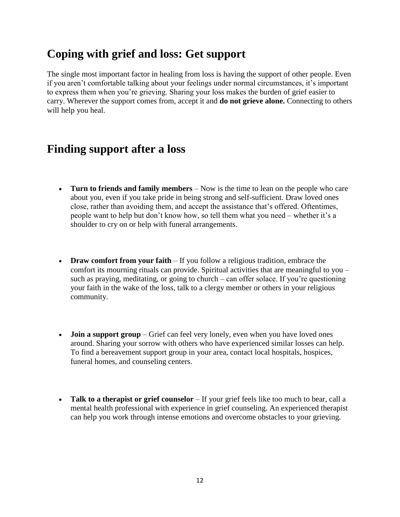### **Coping with grief and loss: Get support**

The single most important factor in healing from loss is having the support of other people. Even if you aren't comfortable talking about your feelings under normal circumstances, it's important to express them when you're grieving. Sharing your loss makes the burden of grief easier to carry. Wherever the support comes from, accept it and **do not grieve alone.** Connecting to others will help you heal.

### **Finding support after a loss**

- **Turn to friends and family members**  Now is the time to lean on the people who care about you, even if you take pride in being strong and self-sufficient. Draw loved ones close, rather than avoiding them, and accept the assistance that's offered. Oftentimes, people want to help but don't know how, so tell them what you need – whether it's a shoulder to cry on or help with funeral arrangements.
- **Draw comfort from your faith** If you follow a religious tradition, embrace the comfort its mourning rituals can provide. Spiritual activities that are meaningful to you – such as praying, meditating, or going to church – can offer solace. If you're questioning your faith in the wake of the loss, talk to a clergy member or others in your religious community.
- **Join a support group** Grief can feel very lonely, even when you have loved ones around. Sharing your sorrow with others who have experienced similar losses can help. To find a bereavement support group in your area, contact local hospitals, hospices, funeral homes, and counseling centers.
- Talk to a therapist or grief counselor If your grief feels like too much to bear, call a mental health professional with experience in grief counseling. An experienced therapist can help you work through intense emotions and overcome obstacles to your grieving.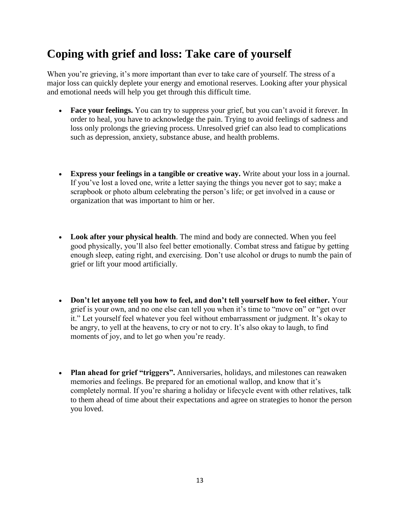## **Coping with grief and loss: Take care of yourself**

When you're grieving, it's more important than ever to take care of yourself. The stress of a major loss can quickly deplete your energy and emotional reserves. Looking after your physical and emotional needs will help you get through this difficult time.

- **Face your feelings.** You can try to suppress your grief, but you can't avoid it forever. In order to heal, you have to acknowledge the pain. Trying to avoid feelings of sadness and loss only prolongs the grieving process. Unresolved grief can also lead to complications such as depression, anxiety, substance abuse, and health problems.
- **Express your feelings in a tangible or creative way.** Write about your loss in a journal. If you've lost a loved one, write a letter saying the things you never got to say; make a scrapbook or photo album celebrating the person's life; or get involved in a cause or organization that was important to him or her.
- **Look after your physical health**. The mind and body are connected. When you feel good physically, you'll also feel better emotionally. Combat stress and fatigue by getting enough sleep, eating right, and exercising. Don't use alcohol or drugs to numb the pain of grief or lift your mood artificially.
- **Don't let anyone tell you how to feel, and don't tell yourself how to feel either.** Your grief is your own, and no one else can tell you when it's time to "move on" or "get over it." Let yourself feel whatever you feel without embarrassment or judgment. It's okay to be angry, to yell at the heavens, to cry or not to cry. It's also okay to laugh, to find moments of joy, and to let go when you're ready.
- **Plan ahead for grief "triggers".** Anniversaries, holidays, and milestones can reawaken memories and feelings. Be prepared for an emotional wallop, and know that it's completely normal. If you're sharing a holiday or lifecycle event with other relatives, talk to them ahead of time about their expectations and agree on strategies to honor the person you loved.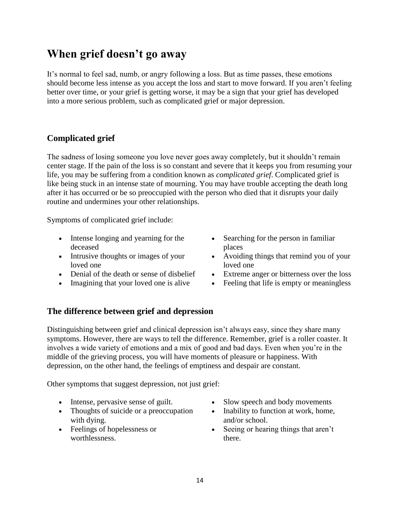### **When grief doesn't go away**

It's normal to feel sad, numb, or angry following a loss. But as time passes, these emotions should become less intense as you accept the loss and start to move forward. If you aren't feeling better over time, or your grief is getting worse, it may be a sign that your grief has developed into a more serious problem, such as complicated grief or major depression.

#### **Complicated grief**

The sadness of losing someone you love never goes away completely, but it shouldn't remain center stage. If the pain of the loss is so constant and severe that it keeps you from resuming your life, you may be suffering from a condition known as *complicated grief*. Complicated grief is like being stuck in an intense state of mourning. You may have trouble accepting the death long after it has occurred or be so preoccupied with the person who died that it disrupts your daily routine and undermines your other relationships.

Symptoms of complicated grief include:

- Intense longing and yearning for the deceased
- Intrusive thoughts or images of your loved one
- Denial of the death or sense of disbelief
- Imagining that your loved one is alive
- Searching for the person in familiar places
- Avoiding things that remind you of your loved one
- Extreme anger or bitterness over the loss
- Feeling that life is empty or meaningless

#### **The difference between grief and depression**

Distinguishing between grief and clinical depression isn't always easy, since they share many symptoms. However, there are ways to tell the difference. Remember, grief is a roller coaster. It involves a wide variety of emotions and a mix of good and bad days. Even when you're in the middle of the grieving process, you will have moments of pleasure or happiness. With depression, on the other hand, the feelings of emptiness and despair are constant.

Other symptoms that suggest depression, not just grief:

- Intense, pervasive sense of guilt.
- Thoughts of suicide or a preoccupation with dying.
- Feelings of hopelessness or worthlessness.
- Slow speech and body movements
- Inability to function at work, home, and/or school.
- Seeing or hearing things that aren't there.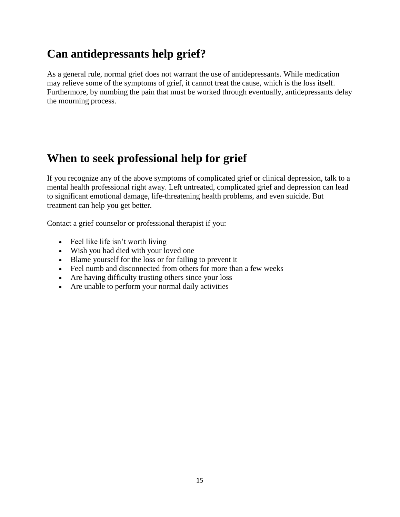### **Can antidepressants help grief?**

As a general rule, normal grief does not warrant the use of antidepressants. While medication may relieve some of the symptoms of grief, it cannot treat the cause, which is the loss itself. Furthermore, by numbing the pain that must be worked through eventually, antidepressants delay the mourning process.

### **When to seek professional help for grief**

If you recognize any of the above symptoms of complicated grief or clinical depression, talk to a mental health professional right away. Left untreated, complicated grief and depression can lead to significant emotional damage, life-threatening health problems, and even suicide. But treatment can help you get better.

Contact a grief counselor or professional therapist if you:

- Feel like life isn't worth living
- Wish you had died with your loved one
- Blame yourself for the loss or for failing to prevent it
- Feel numb and disconnected from others for more than a few weeks
- Are having difficulty trusting others since your loss
- Are unable to perform your normal daily activities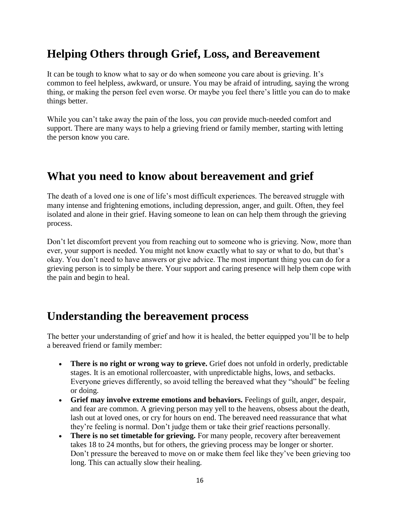### **Helping Others through Grief, Loss, and Bereavement**

It can be tough to know what to say or do when someone you care about is grieving. It's common to feel helpless, awkward, or unsure. You may be afraid of intruding, saying the wrong thing, or making the person feel even worse. Or maybe you feel there's little you can do to make things better.

While you can't take away the pain of the loss, you *can* provide much-needed comfort and support. There are many ways to help a grieving friend or family member, starting with letting the person know you care.

#### **What you need to know about bereavement and grief**

The death of a loved one is one of life's most difficult experiences. The bereaved struggle with many intense and frightening emotions, including depression, anger, and guilt. Often, they feel isolated and alone in their grief. Having someone to lean on can help them through the grieving process.

Don't let discomfort prevent you from reaching out to someone who is grieving. Now, more than ever, your support is needed. You might not know exactly what to say or what to do, but that's okay. You don't need to have answers or give advice. The most important thing you can do for a grieving person is to simply be there. Your support and caring presence will help them cope with the pain and begin to heal.

#### **Understanding the bereavement process**

The better your understanding of grief and how it is healed, the better equipped you'll be to help a bereaved friend or family member:

- **There is no right or wrong way to grieve.** Grief does not unfold in orderly, predictable stages. It is an emotional rollercoaster, with unpredictable highs, lows, and setbacks. Everyone grieves differently, so avoid telling the bereaved what they "should" be feeling or doing.
- **Grief may involve extreme emotions and behaviors.** Feelings of guilt, anger, despair, and fear are common. A grieving person may yell to the heavens, obsess about the death, lash out at loved ones, or cry for hours on end. The bereaved need reassurance that what they're feeling is normal. Don't judge them or take their grief reactions personally.
- **There is no set timetable for grieving.** For many people, recovery after bereavement takes 18 to 24 months, but for others, the grieving process may be longer or shorter. Don't pressure the bereaved to move on or make them feel like they've been grieving too long. This can actually slow their healing.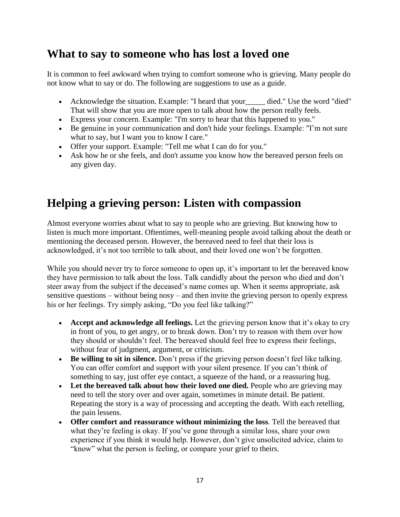### **What to say to someone who has lost a loved one**

It is common to feel awkward when trying to comfort someone who is grieving. Many people do not know what to say or do. The following are suggestions to use as a guide.

- Acknowledge the situation. Example: "I heard that your died." Use the word "died" That will show that you are more open to talk about how the person really feels.
- Express your concern. Example: "I'm sorry to hear that this happened to you."
- Be genuine in your communication and don't hide your feelings. Example: "I'm not sure what to say, but I want you to know I care."
- Offer your support. Example: "Tell me what I can do for you."
- Ask how he or she feels, and don't assume you know how the bereaved person feels on any given day.

### **Helping a grieving person: Listen with compassion**

Almost everyone worries about what to say to people who are grieving. But knowing how to listen is much more important. Oftentimes, well-meaning people avoid talking about the death or mentioning the deceased person. However, the bereaved need to feel that their loss is acknowledged, it's not too terrible to talk about, and their loved one won't be forgotten.

While you should never try to force someone to open up, it's important to let the bereaved know they have permission to talk about the loss. Talk candidly about the person who died and don't steer away from the subject if the deceased's name comes up. When it seems appropriate, ask sensitive questions – without being nosy – and then invite the grieving person to openly express his or her feelings. Try simply asking, "Do you feel like talking?"

- **Accept and acknowledge all feelings.** Let the grieving person know that it's okay to cry in front of you, to get angry, or to break down. Don't try to reason with them over how they should or shouldn't feel. The bereaved should feel free to express their feelings, without fear of judgment, argument, or criticism.
- **Be willing to sit in silence.** Don't press if the grieving person doesn't feel like talking. You can offer comfort and support with your silent presence. If you can't think of something to say, just offer eye contact, a squeeze of the hand, or a reassuring hug.
- Let the bereaved talk about how their loved one died. People who are grieving may need to tell the story over and over again, sometimes in minute detail. Be patient. Repeating the story is a way of processing and accepting the death. With each retelling, the pain lessens.
- **Offer comfort and reassurance without minimizing the loss**. Tell the bereaved that what they're feeling is okay. If you've gone through a similar loss, share your own experience if you think it would help. However, don't give unsolicited advice, claim to "know" what the person is feeling, or compare your grief to theirs.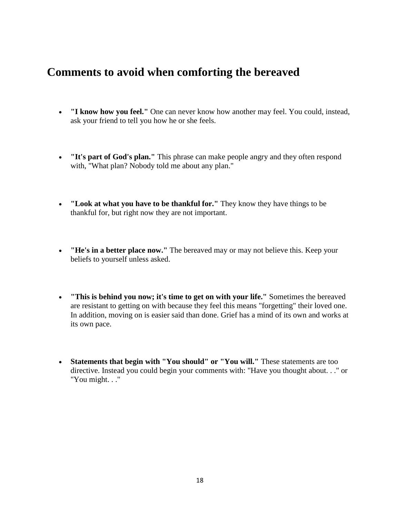### **Comments to avoid when comforting the bereaved**

- **"I know how you feel."** One can never know how another may feel. You could, instead, ask your friend to tell you how he or she feels.
- **"It's part of God's plan."** This phrase can make people angry and they often respond with, "What plan? Nobody told me about any plan."
- **"Look at what you have to be thankful for."** They know they have things to be thankful for, but right now they are not important.
- **"He's in a better place now."** The bereaved may or may not believe this. Keep your beliefs to yourself unless asked.
- **"This is behind you now; it's time to get on with your life."** Sometimes the bereaved are resistant to getting on with because they feel this means "forgetting" their loved one. In addition, moving on is easier said than done. Grief has a mind of its own and works at its own pace.
- **Statements that begin with "You should" or "You will."** These statements are too directive. Instead you could begin your comments with: "Have you thought about. . ." or "You might. . ."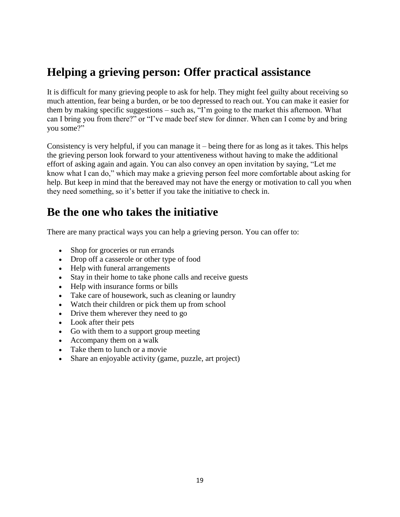### **Helping a grieving person: Offer practical assistance**

It is difficult for many grieving people to ask for help. They might feel guilty about receiving so much attention, fear being a burden, or be too depressed to reach out. You can make it easier for them by making specific suggestions – such as, "I'm going to the market this afternoon. What can I bring you from there?" or "I've made beef stew for dinner. When can I come by and bring you some?"

Consistency is very helpful, if you can manage it  $-$  being there for as long as it takes. This helps the grieving person look forward to your attentiveness without having to make the additional effort of asking again and again. You can also convey an open invitation by saying, "Let me know what I can do," which may make a grieving person feel more comfortable about asking for help. But keep in mind that the bereaved may not have the energy or motivation to call you when they need something, so it's better if you take the initiative to check in.

### **Be the one who takes the initiative**

There are many practical ways you can help a grieving person. You can offer to:

- Shop for groceries or run errands
- Drop off a casserole or other type of food
- Help with funeral arrangements
- Stay in their home to take phone calls and receive guests
- Help with insurance forms or bills
- Take care of housework, such as cleaning or laundry
- Watch their children or pick them up from school
- Drive them wherever they need to go
- Look after their pets
- Go with them to a support group meeting
- Accompany them on a walk
- Take them to lunch or a movie
- Share an enjoyable activity (game, puzzle, art project)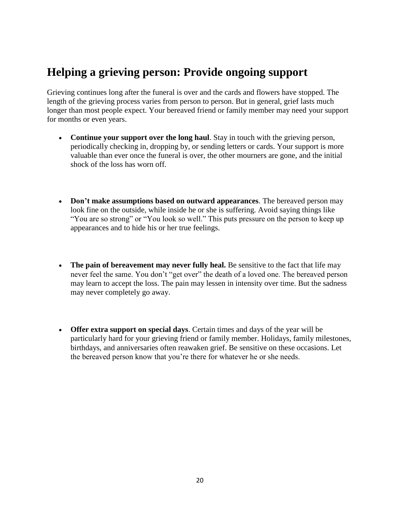### **Helping a grieving person: Provide ongoing support**

Grieving continues long after the funeral is over and the cards and flowers have stopped. The length of the grieving process varies from person to person. But in general, grief lasts much longer than most people expect. Your bereaved friend or family member may need your support for months or even years.

- **Continue your support over the long haul**. Stay in touch with the grieving person, periodically checking in, dropping by, or sending letters or cards. Your support is more valuable than ever once the funeral is over, the other mourners are gone, and the initial shock of the loss has worn off.
- **Don't make assumptions based on outward appearances**. The bereaved person may look fine on the outside, while inside he or she is suffering. Avoid saying things like "You are so strong" or "You look so well." This puts pressure on the person to keep up appearances and to hide his or her true feelings.
- The pain of bereavement may never fully heal. Be sensitive to the fact that life may never feel the same. You don't "get over" the death of a loved one. The bereaved person may learn to accept the loss. The pain may lessen in intensity over time. But the sadness may never completely go away.
- **Offer extra support on special days**. Certain times and days of the year will be particularly hard for your grieving friend or family member. Holidays, family milestones, birthdays, and anniversaries often reawaken grief. Be sensitive on these occasions. Let the bereaved person know that you're there for whatever he or she needs.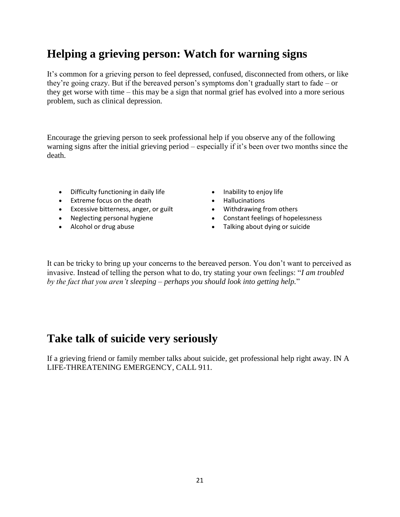## **Helping a grieving person: Watch for warning signs**

It's common for a grieving person to feel depressed, confused, disconnected from others, or like they're going crazy. But if the bereaved person's symptoms don't gradually start to fade – or they get worse with time – this may be a sign that normal grief has evolved into a more serious problem, such as clinical depression.

Encourage the grieving person to seek professional help if you observe any of the following warning signs after the initial grieving period – especially if it's been over two months since the death.

- Difficulty functioning in daily life
- Extreme focus on the death
- Excessive bitterness, anger, or guilt
- Neglecting personal hygiene
- Alcohol or drug abuse
- Inability to enjoy life
- Hallucinations
- Withdrawing from others
- Constant feelings of hopelessness
- Talking about dying or suicide

It can be tricky to bring up your concerns to the bereaved person. You don't want to perceived as invasive. Instead of telling the person what to do, try stating your own feelings: "*I am troubled by the fact that you aren't sleeping – perhaps you should look into getting help.*"

#### **Take talk of suicide very seriously**

If a grieving friend or family member talks about suicide, get professional help right away. IN A LIFE-THREATENING EMERGENCY, CALL 911.